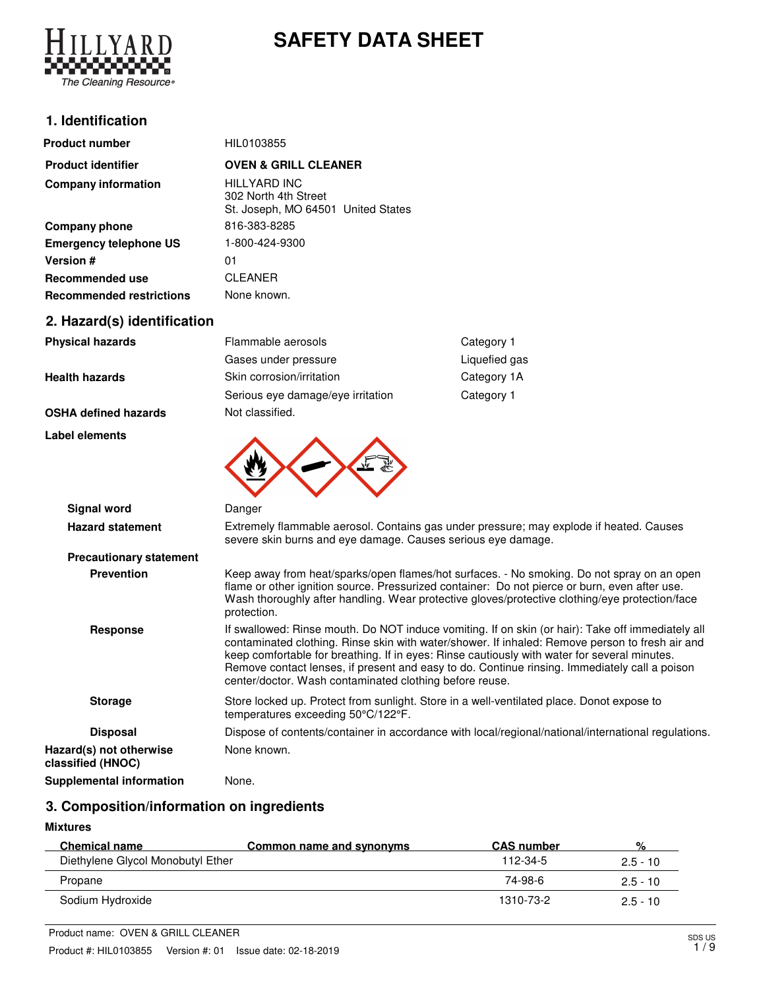

# **SAFETY DATA SHEET**

### **1. Identification**

| <b>Product number</b>           | HIL0103855                                                                 |
|---------------------------------|----------------------------------------------------------------------------|
| <b>Product identifier</b>       | <b>OVEN &amp; GRILL CLEANER</b>                                            |
| <b>Company information</b>      | HILLYARD INC<br>302 North 4th Street<br>St. Joseph, MO 64501 United States |
| Company phone                   | 816-383-8285                                                               |
| <b>Emergency telephone US</b>   | 1-800-424-9300                                                             |
| Version #                       | 01                                                                         |
| Recommended use                 | <b>CLEANER</b>                                                             |
| <b>Recommended restrictions</b> | None known.                                                                |

## **2. Hazard(s) identification**

**Label elements**

| <b>Physical hazards</b>     | Flammable aerosols                | Category 1    |
|-----------------------------|-----------------------------------|---------------|
|                             | Gases under pressure              | Liquefied gas |
| <b>Health hazards</b>       | Skin corrosion/irritation         | Category 1A   |
|                             | Serious eye damage/eye irritation | Category 1    |
| <b>OSHA defined hazards</b> | Not classified.                   |               |

 $\overline{\phantom{a}}$ 

| <b>Signal word</b>                           | Danger                                                                                                                                                                                                                                                                                                                                                                                                                                                           |
|----------------------------------------------|------------------------------------------------------------------------------------------------------------------------------------------------------------------------------------------------------------------------------------------------------------------------------------------------------------------------------------------------------------------------------------------------------------------------------------------------------------------|
| <b>Hazard statement</b>                      | Extremely flammable aerosol. Contains gas under pressure; may explode if heated. Causes<br>severe skin burns and eye damage. Causes serious eye damage.                                                                                                                                                                                                                                                                                                          |
| <b>Precautionary statement</b>               |                                                                                                                                                                                                                                                                                                                                                                                                                                                                  |
| <b>Prevention</b>                            | Keep away from heat/sparks/open flames/hot surfaces. - No smoking. Do not spray on an open<br>flame or other ignition source. Pressurized container: Do not pierce or burn, even after use.<br>Wash thoroughly after handling. Wear protective gloves/protective clothing/eye protection/face<br>protection.                                                                                                                                                     |
| <b>Response</b>                              | If swallowed: Rinse mouth. Do NOT induce vomiting. If on skin (or hair): Take off immediately all<br>contaminated clothing. Rinse skin with water/shower. If inhaled: Remove person to fresh air and<br>keep comfortable for breathing. If in eyes: Rinse cautiously with water for several minutes.<br>Remove contact lenses, if present and easy to do. Continue rinsing. Immediately call a poison<br>center/doctor. Wash contaminated clothing before reuse. |
| <b>Storage</b>                               | Store locked up. Protect from sunlight. Store in a well-ventilated place. Donot expose to<br>temperatures exceeding 50°C/122°F.                                                                                                                                                                                                                                                                                                                                  |
| <b>Disposal</b>                              | Dispose of contents/container in accordance with local/regional/national/international regulations.                                                                                                                                                                                                                                                                                                                                                              |
| Hazard(s) not otherwise<br>classified (HNOC) | None known.                                                                                                                                                                                                                                                                                                                                                                                                                                                      |
| Supplemental information                     | None.                                                                                                                                                                                                                                                                                                                                                                                                                                                            |

# **3. Composition/information on ingredients**

### **Mixtures**

| <b>Chemical name</b>              | Common name and synonyms | <b>CAS number</b> | %          |
|-----------------------------------|--------------------------|-------------------|------------|
| Diethylene Glycol Monobutyl Ether |                          | 112-34-5          | $2.5 - 10$ |
| Propane                           |                          | 74-98-6           | $2.5 - 10$ |
| Sodium Hydroxide                  |                          | 1310-73-2         | $2.5 - 10$ |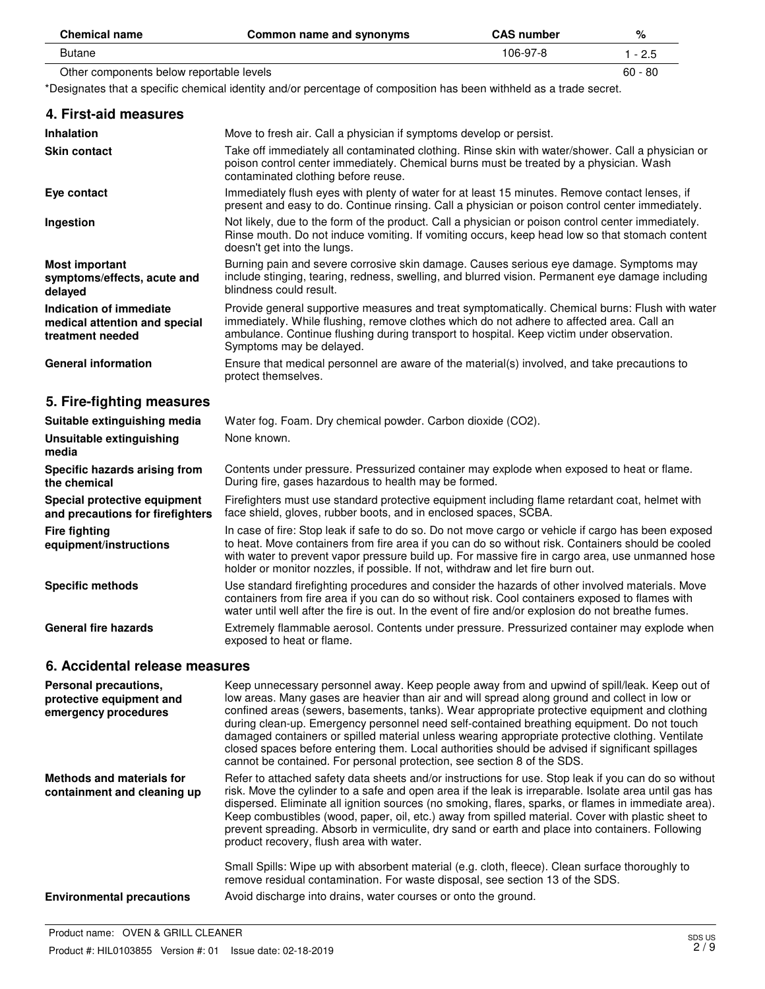| <b>Chemical name</b>                     | Common name and synonyms | <b>CAS number</b> | %         |
|------------------------------------------|--------------------------|-------------------|-----------|
| Butane                                   |                          | 106-97-8          | $-2.5$    |
| Other components below reportable levels |                          |                   | $60 - 80$ |

\*Designates that a specific chemical identity and/or percentage of composition has been withheld as a trade secret.

| 4. First-aid measures                                                        |                                                                                                                                                                                                                                                                                                                                                                                                  |
|------------------------------------------------------------------------------|--------------------------------------------------------------------------------------------------------------------------------------------------------------------------------------------------------------------------------------------------------------------------------------------------------------------------------------------------------------------------------------------------|
| <b>Inhalation</b>                                                            | Move to fresh air. Call a physician if symptoms develop or persist.                                                                                                                                                                                                                                                                                                                              |
| Skin contact                                                                 | Take off immediately all contaminated clothing. Rinse skin with water/shower. Call a physician or<br>poison control center immediately. Chemical burns must be treated by a physician. Wash<br>contaminated clothing before reuse.                                                                                                                                                               |
| Eye contact                                                                  | Immediately flush eyes with plenty of water for at least 15 minutes. Remove contact lenses, if<br>present and easy to do. Continue rinsing. Call a physician or poison control center immediately.                                                                                                                                                                                               |
| Ingestion                                                                    | Not likely, due to the form of the product. Call a physician or poison control center immediately.<br>Rinse mouth. Do not induce vomiting. If vomiting occurs, keep head low so that stomach content<br>doesn't get into the lungs.                                                                                                                                                              |
| <b>Most important</b><br>symptoms/effects, acute and<br>delayed              | Burning pain and severe corrosive skin damage. Causes serious eye damage. Symptoms may<br>include stinging, tearing, redness, swelling, and blurred vision. Permanent eye damage including<br>blindness could result.                                                                                                                                                                            |
| Indication of immediate<br>medical attention and special<br>treatment needed | Provide general supportive measures and treat symptomatically. Chemical burns: Flush with water<br>immediately. While flushing, remove clothes which do not adhere to affected area. Call an<br>ambulance. Continue flushing during transport to hospital. Keep victim under observation.<br>Symptoms may be delayed.                                                                            |
| <b>General information</b>                                                   | Ensure that medical personnel are aware of the material(s) involved, and take precautions to<br>protect themselves.                                                                                                                                                                                                                                                                              |
| 5. Fire-fighting measures                                                    |                                                                                                                                                                                                                                                                                                                                                                                                  |
| Suitable extinguishing media                                                 | Water fog. Foam. Dry chemical powder. Carbon dioxide (CO2).                                                                                                                                                                                                                                                                                                                                      |
| Unsuitable extinguishing<br>media                                            | None known.                                                                                                                                                                                                                                                                                                                                                                                      |
| Specific hazards arising from<br>the chemical                                | Contents under pressure. Pressurized container may explode when exposed to heat or flame.<br>During fire, gases hazardous to health may be formed.                                                                                                                                                                                                                                               |
| Special protective equipment<br>and precautions for firefighters             | Firefighters must use standard protective equipment including flame retardant coat, helmet with<br>face shield, gloves, rubber boots, and in enclosed spaces, SCBA.                                                                                                                                                                                                                              |
| <b>Fire fighting</b><br>equipment/instructions                               | In case of fire: Stop leak if safe to do so. Do not move cargo or vehicle if cargo has been exposed<br>to heat. Move containers from fire area if you can do so without risk. Containers should be cooled<br>with water to prevent vapor pressure build up. For massive fire in cargo area, use unmanned hose<br>holder or monitor nozzles, if possible. If not, withdraw and let fire burn out. |
| <b>Specific methods</b>                                                      | Use standard firefighting procedures and consider the hazards of other involved materials. Move<br>containers from fire area if you can do so without risk. Cool containers exposed to flames with<br>water until well after the fire is out. In the event of fire and/or explosion do not breathe fumes.                                                                                        |
| <b>General fire hazards</b>                                                  | Extremely flammable aerosol. Contents under pressure. Pressurized container may explode when<br>exposed to heat or flame.                                                                                                                                                                                                                                                                        |
| 6 Accidental release measures                                                |                                                                                                                                                                                                                                                                                                                                                                                                  |

#### **6. Accidental release measures**

| Personal precautions,<br>protective equipment and<br>emergency procedures | Keep unnecessary personnel away. Keep people away from and upwind of spill/leak. Keep out of<br>low areas. Many gases are heavier than air and will spread along ground and collect in low or<br>confined areas (sewers, basements, tanks). Wear appropriate protective equipment and clothing<br>during clean-up. Emergency personnel need self-contained breathing equipment. Do not touch<br>damaged containers or spilled material unless wearing appropriate protective clothing. Ventilate<br>closed spaces before entering them. Local authorities should be advised if significant spillages<br>cannot be contained. For personal protection, see section 8 of the SDS. |
|---------------------------------------------------------------------------|---------------------------------------------------------------------------------------------------------------------------------------------------------------------------------------------------------------------------------------------------------------------------------------------------------------------------------------------------------------------------------------------------------------------------------------------------------------------------------------------------------------------------------------------------------------------------------------------------------------------------------------------------------------------------------|
| Methods and materials for<br>containment and cleaning up                  | Refer to attached safety data sheets and/or instructions for use. Stop leak if you can do so without<br>risk. Move the cylinder to a safe and open area if the leak is irreparable. Isolate area until gas has<br>dispersed. Eliminate all ignition sources (no smoking, flares, sparks, or flames in immediate area).<br>Keep combustibles (wood, paper, oil, etc.) away from spilled material. Cover with plastic sheet to<br>prevent spreading. Absorb in vermiculite, dry sand or earth and place into containers. Following<br>product recovery, flush area with water.                                                                                                    |
|                                                                           | Small Spills: Wipe up with absorbent material (e.g. cloth, fleece). Clean surface thoroughly to<br>remove residual contamination. For waste disposal, see section 13 of the SDS.                                                                                                                                                                                                                                                                                                                                                                                                                                                                                                |
| <b>Environmental precautions</b>                                          | Avoid discharge into drains, water courses or onto the ground.                                                                                                                                                                                                                                                                                                                                                                                                                                                                                                                                                                                                                  |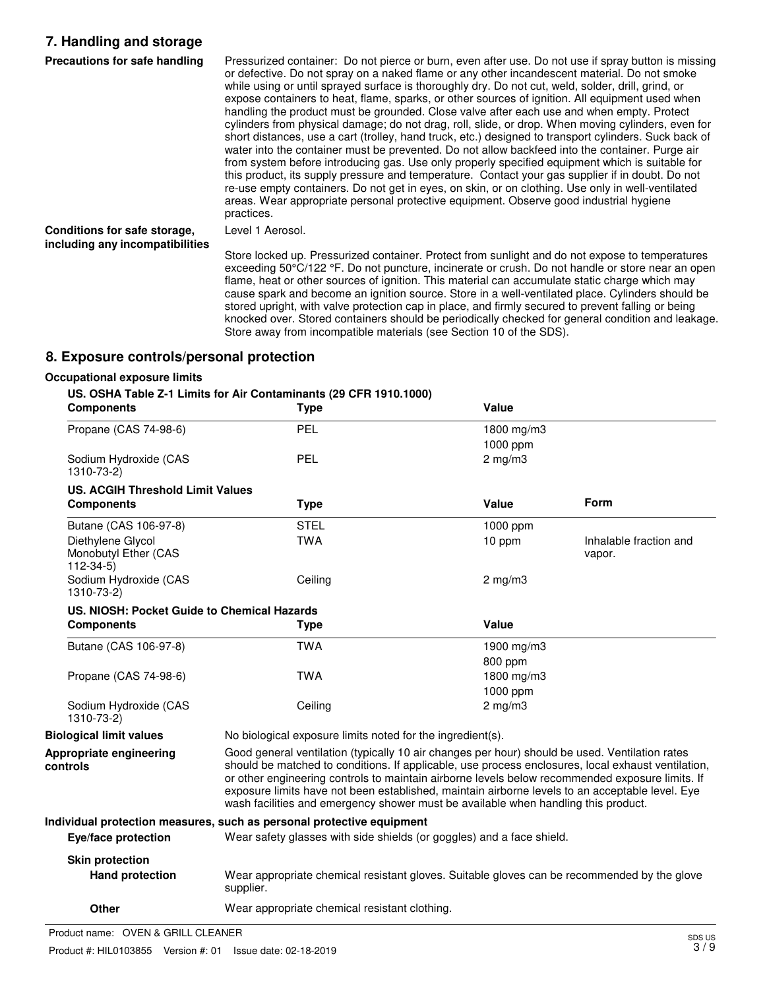## **7. Handling and storage**

| Precautions for safe handling                                   | Pressurized container: Do not pierce or burn, even after use. Do not use if spray button is missing<br>or defective. Do not spray on a naked flame or any other incandescent material. Do not smoke<br>while using or until sprayed surface is thoroughly dry. Do not cut, weld, solder, drill, grind, or<br>expose containers to heat, flame, sparks, or other sources of ignition. All equipment used when<br>handling the product must be grounded. Close valve after each use and when empty. Protect<br>cylinders from physical damage; do not drag, roll, slide, or drop. When moving cylinders, even for<br>short distances, use a cart (trolley, hand truck, etc.) designed to transport cylinders. Suck back of<br>water into the container must be prevented. Do not allow backfeed into the container. Purge air<br>from system before introducing gas. Use only properly specified equipment which is suitable for<br>this product, its supply pressure and temperature. Contact your gas supplier if in doubt. Do not<br>re-use empty containers. Do not get in eyes, on skin, or on clothing. Use only in well-ventilated<br>areas. Wear appropriate personal protective equipment. Observe good industrial hygiene<br>practices. |
|-----------------------------------------------------------------|-------------------------------------------------------------------------------------------------------------------------------------------------------------------------------------------------------------------------------------------------------------------------------------------------------------------------------------------------------------------------------------------------------------------------------------------------------------------------------------------------------------------------------------------------------------------------------------------------------------------------------------------------------------------------------------------------------------------------------------------------------------------------------------------------------------------------------------------------------------------------------------------------------------------------------------------------------------------------------------------------------------------------------------------------------------------------------------------------------------------------------------------------------------------------------------------------------------------------------------------------|
| Conditions for safe storage,<br>including any incompatibilities | Level 1 Aerosol.                                                                                                                                                                                                                                                                                                                                                                                                                                                                                                                                                                                                                                                                                                                                                                                                                                                                                                                                                                                                                                                                                                                                                                                                                                |
|                                                                 | Store locked up. Pressurized container. Protect from sunlight and do not expose to temperatures<br>exceeding 50°C/122 °F. Do not puncture, incinerate or crush. Do not handle or store near an open<br>flame, heat or other sources of ignition. This material can accumulate static charge which may<br>cause spark and become an ignition source. Store in a well-ventilated place. Cylinders should be<br>stored upright, with valve protection cap in place, and firmly secured to prevent falling or being<br>knocked over. Stored containers should be periodically checked for general condition and leakage.<br>Store away from incompatible materials (see Section 10 of the SDS).                                                                                                                                                                                                                                                                                                                                                                                                                                                                                                                                                     |

## **8. Exposure controls/personal protection**

### **Occupational exposure limits**

|                                                         | US. OSHA Table Z-1 Limits for Air Contaminants (29 CFR 1910.1000)                                                                                                                                                                                                                                                                                                                                                                                                                                |                  |                                  |
|---------------------------------------------------------|--------------------------------------------------------------------------------------------------------------------------------------------------------------------------------------------------------------------------------------------------------------------------------------------------------------------------------------------------------------------------------------------------------------------------------------------------------------------------------------------------|------------------|----------------------------------|
| <b>Components</b>                                       | <b>Type</b>                                                                                                                                                                                                                                                                                                                                                                                                                                                                                      | Value            |                                  |
| Propane (CAS 74-98-6)                                   | <b>PEL</b>                                                                                                                                                                                                                                                                                                                                                                                                                                                                                       | 1800 mg/m3       |                                  |
|                                                         |                                                                                                                                                                                                                                                                                                                                                                                                                                                                                                  | 1000 ppm         |                                  |
| Sodium Hydroxide (CAS<br>1310-73-2)                     | <b>PEL</b>                                                                                                                                                                                                                                                                                                                                                                                                                                                                                       | $2$ mg/m $3$     |                                  |
| <b>US. ACGIH Threshold Limit Values</b>                 |                                                                                                                                                                                                                                                                                                                                                                                                                                                                                                  |                  |                                  |
| <b>Components</b>                                       | <b>Type</b>                                                                                                                                                                                                                                                                                                                                                                                                                                                                                      | Value            | <b>Form</b>                      |
| Butane (CAS 106-97-8)                                   | <b>STEL</b>                                                                                                                                                                                                                                                                                                                                                                                                                                                                                      | 1000 ppm         |                                  |
| Diethylene Glycol<br>Monobutyl Ether (CAS<br>$112-34-5$ | <b>TWA</b>                                                                                                                                                                                                                                                                                                                                                                                                                                                                                       | 10 ppm           | Inhalable fraction and<br>vapor. |
| Sodium Hydroxide (CAS<br>1310-73-2)                     | Ceiling                                                                                                                                                                                                                                                                                                                                                                                                                                                                                          | $2 \text{ mg/m}$ |                                  |
| US. NIOSH: Pocket Guide to Chemical Hazards             |                                                                                                                                                                                                                                                                                                                                                                                                                                                                                                  |                  |                                  |
| <b>Components</b>                                       | <b>Type</b>                                                                                                                                                                                                                                                                                                                                                                                                                                                                                      | Value            |                                  |
| Butane (CAS 106-97-8)                                   | <b>TWA</b>                                                                                                                                                                                                                                                                                                                                                                                                                                                                                       | 1900 mg/m3       |                                  |
|                                                         |                                                                                                                                                                                                                                                                                                                                                                                                                                                                                                  | 800 ppm          |                                  |
| Propane (CAS 74-98-6)                                   | <b>TWA</b>                                                                                                                                                                                                                                                                                                                                                                                                                                                                                       | 1800 mg/m3       |                                  |
|                                                         |                                                                                                                                                                                                                                                                                                                                                                                                                                                                                                  | 1000 ppm         |                                  |
| Sodium Hydroxide (CAS<br>1310-73-2)                     | Ceiling                                                                                                                                                                                                                                                                                                                                                                                                                                                                                          | $2 \text{ mg/m}$ |                                  |
| <b>Biological limit values</b>                          | No biological exposure limits noted for the ingredient(s).                                                                                                                                                                                                                                                                                                                                                                                                                                       |                  |                                  |
| Appropriate engineering<br>controls                     | Good general ventilation (typically 10 air changes per hour) should be used. Ventilation rates<br>should be matched to conditions. If applicable, use process enclosures, local exhaust ventilation,<br>or other engineering controls to maintain airborne levels below recommended exposure limits. If<br>exposure limits have not been established, maintain airborne levels to an acceptable level. Eye<br>wash facilities and emergency shower must be available when handling this product. |                  |                                  |
|                                                         | Individual protection measures, such as personal protective equipment                                                                                                                                                                                                                                                                                                                                                                                                                            |                  |                                  |
| Eye/face protection                                     | Wear safety glasses with side shields (or goggles) and a face shield.                                                                                                                                                                                                                                                                                                                                                                                                                            |                  |                                  |
| <b>Skin protection</b>                                  |                                                                                                                                                                                                                                                                                                                                                                                                                                                                                                  |                  |                                  |
| <b>Hand protection</b>                                  | Wear appropriate chemical resistant gloves. Suitable gloves can be recommended by the glove<br>supplier.                                                                                                                                                                                                                                                                                                                                                                                         |                  |                                  |
| <b>Other</b>                                            | Wear appropriate chemical resistant clothing.                                                                                                                                                                                                                                                                                                                                                                                                                                                    |                  |                                  |

Product name: OVEN & GRILL CLEANER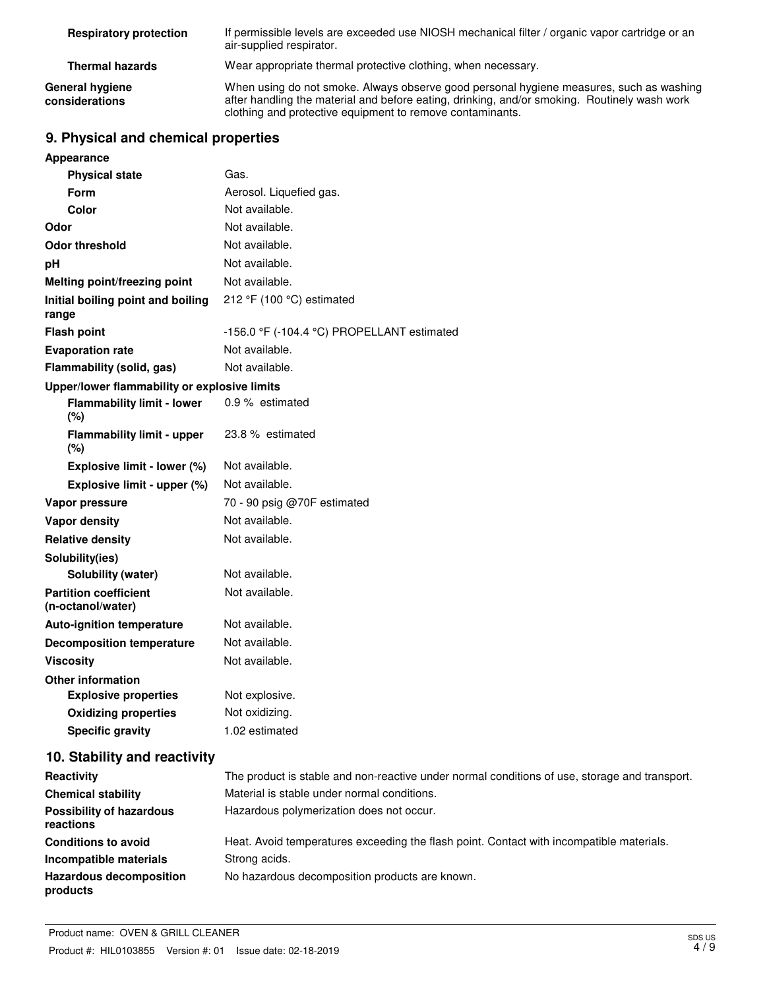| <b>Respiratory protection</b>     | If permissible levels are exceeded use NIOSH mechanical filter / organic vapor cartridge or an<br>air-supplied respirator.                                                                                                                           |
|-----------------------------------|------------------------------------------------------------------------------------------------------------------------------------------------------------------------------------------------------------------------------------------------------|
| <b>Thermal hazards</b>            | Wear appropriate thermal protective clothing, when necessary.                                                                                                                                                                                        |
| General hygiene<br>considerations | When using do not smoke. Always observe good personal hygiene measures, such as washing<br>after handling the material and before eating, drinking, and/or smoking. Routinely wash work<br>clothing and protective equipment to remove contaminants. |

# **9. Physical and chemical properties**

| <b>Appearance</b>                                 |                                            |
|---------------------------------------------------|--------------------------------------------|
| <b>Physical state</b>                             | Gas.                                       |
| Form                                              | Aerosol. Liquefied gas.                    |
| Color                                             | Not available.                             |
| Odor                                              | Not available.                             |
| <b>Odor threshold</b>                             | Not available.                             |
| pH                                                | Not available.                             |
| Melting point/freezing point                      | Not available.                             |
| Initial boiling point and boiling<br>range        | 212 °F (100 °C) estimated                  |
| <b>Flash point</b>                                | -156.0 °F (-104.4 °C) PROPELLANT estimated |
| <b>Evaporation rate</b>                           | Not available.                             |
| Flammability (solid, gas)                         | Not available.                             |
| Upper/lower flammability or explosive limits      |                                            |
| <b>Flammability limit - lower</b><br>(%)          | 0.9 % estimated                            |
| <b>Flammability limit - upper</b><br>(%)          | 23.8 % estimated                           |
| Explosive limit - lower (%)                       | Not available.                             |
| Explosive limit - upper (%)                       | Not available.                             |
| Vapor pressure                                    | 70 - 90 psig @70F estimated                |
| <b>Vapor density</b>                              | Not available.                             |
| <b>Relative density</b>                           | Not available.                             |
| Solubility(ies)                                   |                                            |
| Solubility (water)                                | Not available.                             |
| <b>Partition coefficient</b><br>(n-octanol/water) | Not available.                             |
| <b>Auto-ignition temperature</b>                  | Not available.                             |
| <b>Decomposition temperature</b>                  | Not available.                             |
| <b>Viscosity</b>                                  | Not available.                             |
| <b>Other information</b>                          |                                            |
| <b>Explosive properties</b>                       | Not explosive.                             |
| <b>Oxidizing properties</b>                       | Not oxidizing.                             |
| <b>Specific gravity</b>                           | 1.02 estimated                             |

# **10. Stability and reactivity**

| Reactivity                                   | The product is stable and non-reactive under normal conditions of use, storage and transport. |  |
|----------------------------------------------|-----------------------------------------------------------------------------------------------|--|
| <b>Chemical stability</b>                    | Material is stable under normal conditions.                                                   |  |
| <b>Possibility of hazardous</b><br>reactions | Hazardous polymerization does not occur.                                                      |  |
| <b>Conditions to avoid</b>                   | Heat. Avoid temperatures exceeding the flash point. Contact with incompatible materials.      |  |
| Incompatible materials                       | Strong acids.                                                                                 |  |
| <b>Hazardous decomposition</b><br>products   | No hazardous decomposition products are known.                                                |  |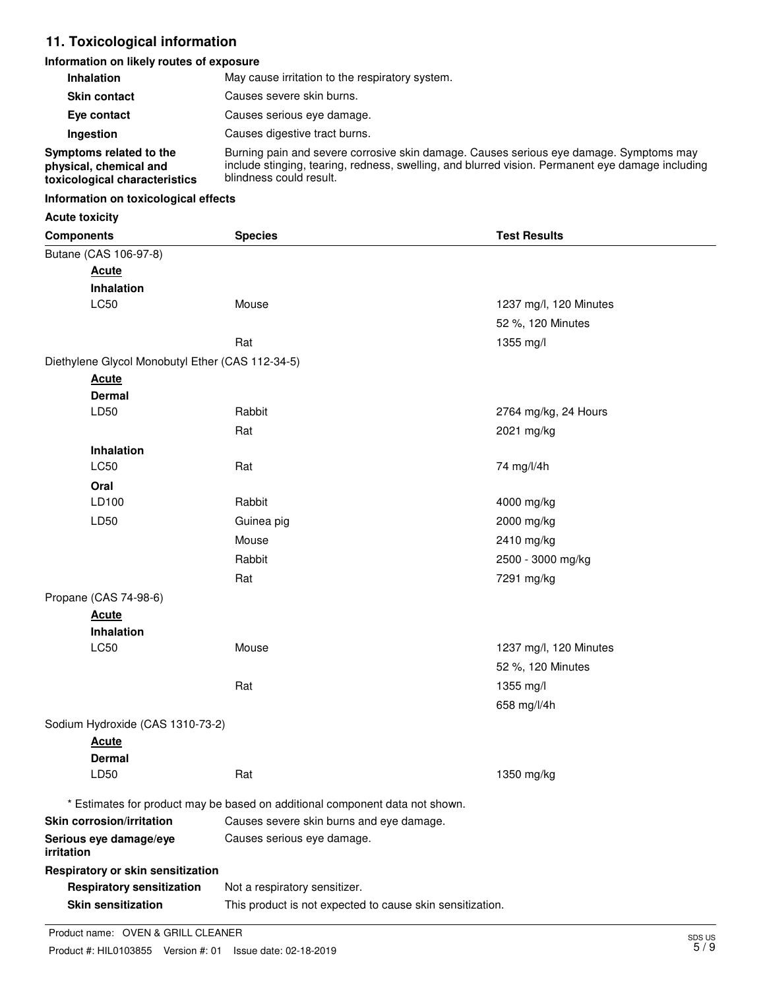## **11. Toxicological information**

#### **Information on likely routes of exposure**

| <b>Inhalation</b>                                                                  | May cause irritation to the respiratory system.                                                                                                                                                                       |
|------------------------------------------------------------------------------------|-----------------------------------------------------------------------------------------------------------------------------------------------------------------------------------------------------------------------|
| <b>Skin contact</b>                                                                | Causes severe skin burns.                                                                                                                                                                                             |
| Eye contact                                                                        | Causes serious eye damage.                                                                                                                                                                                            |
| Ingestion                                                                          | Causes digestive tract burns.                                                                                                                                                                                         |
| Symptoms related to the<br>physical, chemical and<br>toxicological characteristics | Burning pain and severe corrosive skin damage. Causes serious eye damage. Symptoms may<br>include stinging, tearing, redness, swelling, and blurred vision. Permanent eye damage including<br>blindness could result. |

#### **Information on toxicological effects**

#### **Acute toxicity**

| <b>Components</b>                                | <b>Species</b>                                                               | <b>Test Results</b>    |  |
|--------------------------------------------------|------------------------------------------------------------------------------|------------------------|--|
| Butane (CAS 106-97-8)                            |                                                                              |                        |  |
| <b>Acute</b>                                     |                                                                              |                        |  |
| Inhalation                                       |                                                                              |                        |  |
| LC50                                             | Mouse                                                                        | 1237 mg/l, 120 Minutes |  |
|                                                  |                                                                              | 52 %, 120 Minutes      |  |
|                                                  | Rat                                                                          | 1355 mg/l              |  |
| Diethylene Glycol Monobutyl Ether (CAS 112-34-5) |                                                                              |                        |  |
| <b>Acute</b>                                     |                                                                              |                        |  |
| <b>Dermal</b>                                    |                                                                              |                        |  |
| LD50                                             | Rabbit                                                                       | 2764 mg/kg, 24 Hours   |  |
|                                                  | Rat                                                                          | 2021 mg/kg             |  |
| Inhalation                                       |                                                                              |                        |  |
| LC50                                             | Rat                                                                          | 74 mg/l/4h             |  |
| Oral                                             |                                                                              |                        |  |
| LD100                                            | Rabbit                                                                       | 4000 mg/kg             |  |
| LD50                                             | Guinea pig                                                                   | 2000 mg/kg             |  |
|                                                  | Mouse                                                                        | 2410 mg/kg             |  |
|                                                  | Rabbit                                                                       | 2500 - 3000 mg/kg      |  |
|                                                  | Rat                                                                          | 7291 mg/kg             |  |
| Propane (CAS 74-98-6)                            |                                                                              |                        |  |
| <b>Acute</b>                                     |                                                                              |                        |  |
| Inhalation                                       |                                                                              |                        |  |
| LC50                                             | Mouse                                                                        | 1237 mg/l, 120 Minutes |  |
|                                                  |                                                                              | 52 %, 120 Minutes      |  |
|                                                  | Rat                                                                          | 1355 mg/l              |  |
|                                                  |                                                                              | 658 mg/l/4h            |  |
| Sodium Hydroxide (CAS 1310-73-2)                 |                                                                              |                        |  |
| <b>Acute</b>                                     |                                                                              |                        |  |
| <b>Dermal</b>                                    |                                                                              |                        |  |
| LD50                                             | Rat                                                                          | 1350 mg/kg             |  |
|                                                  | * Estimates for product may be based on additional component data not shown. |                        |  |
| <b>Skin corrosion/irritation</b>                 | Causes severe skin burns and eye damage.                                     |                        |  |
| Serious eye damage/eye                           | Causes serious eye damage.                                                   |                        |  |
| irritation                                       |                                                                              |                        |  |
| Respiratory or skin sensitization                |                                                                              |                        |  |
| <b>Respiratory sensitization</b>                 | Not a respiratory sensitizer.                                                |                        |  |
| <b>Skin sensitization</b>                        | This product is not expected to cause skin sensitization.                    |                        |  |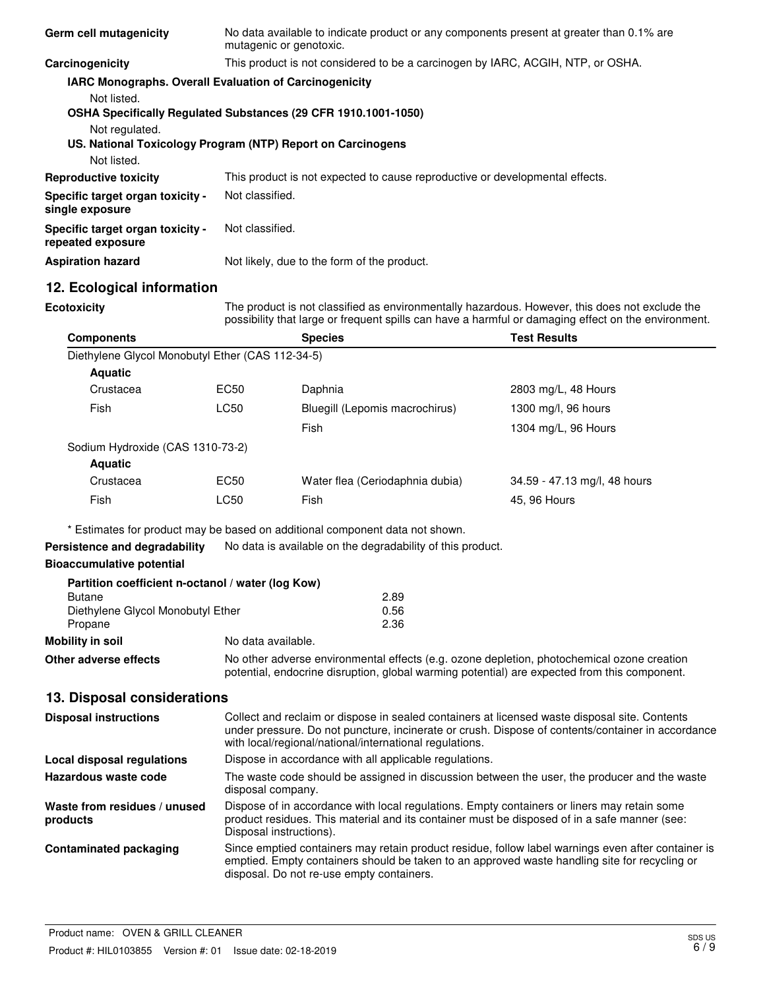| Germ cell mutagenicity                                                                          |                                                                                                                                                                                                                                                               | No data available to indicate product or any components present at greater than 0.1% are<br>mutagenic or genotoxic.                                                                                                    |                              |  |
|-------------------------------------------------------------------------------------------------|---------------------------------------------------------------------------------------------------------------------------------------------------------------------------------------------------------------------------------------------------------------|------------------------------------------------------------------------------------------------------------------------------------------------------------------------------------------------------------------------|------------------------------|--|
| Carcinogenicity                                                                                 |                                                                                                                                                                                                                                                               | This product is not considered to be a carcinogen by IARC, ACGIH, NTP, or OSHA.                                                                                                                                        |                              |  |
| IARC Monographs. Overall Evaluation of Carcinogenicity                                          |                                                                                                                                                                                                                                                               |                                                                                                                                                                                                                        |                              |  |
| Not listed.<br>OSHA Specifically Regulated Substances (29 CFR 1910.1001-1050)<br>Not regulated. |                                                                                                                                                                                                                                                               |                                                                                                                                                                                                                        |                              |  |
| US. National Toxicology Program (NTP) Report on Carcinogens<br>Not listed.                      |                                                                                                                                                                                                                                                               |                                                                                                                                                                                                                        |                              |  |
| <b>Reproductive toxicity</b>                                                                    |                                                                                                                                                                                                                                                               | This product is not expected to cause reproductive or developmental effects.                                                                                                                                           |                              |  |
| Specific target organ toxicity -<br>single exposure                                             |                                                                                                                                                                                                                                                               | Not classified.                                                                                                                                                                                                        |                              |  |
| Specific target organ toxicity -<br>repeated exposure                                           |                                                                                                                                                                                                                                                               | Not classified.                                                                                                                                                                                                        |                              |  |
| <b>Aspiration hazard</b>                                                                        |                                                                                                                                                                                                                                                               | Not likely, due to the form of the product.                                                                                                                                                                            |                              |  |
| 12. Ecological information                                                                      |                                                                                                                                                                                                                                                               |                                                                                                                                                                                                                        |                              |  |
| <b>Ecotoxicity</b>                                                                              |                                                                                                                                                                                                                                                               | The product is not classified as environmentally hazardous. However, this does not exclude the<br>possibility that large or frequent spills can have a harmful or damaging effect on the environment.                  |                              |  |
| <b>Components</b>                                                                               |                                                                                                                                                                                                                                                               | <b>Species</b>                                                                                                                                                                                                         | <b>Test Results</b>          |  |
| Diethylene Glycol Monobutyl Ether (CAS 112-34-5)                                                |                                                                                                                                                                                                                                                               |                                                                                                                                                                                                                        |                              |  |
| <b>Aquatic</b>                                                                                  |                                                                                                                                                                                                                                                               |                                                                                                                                                                                                                        |                              |  |
| Crustacea                                                                                       | <b>EC50</b>                                                                                                                                                                                                                                                   | Daphnia                                                                                                                                                                                                                | 2803 mg/L, 48 Hours          |  |
| Fish                                                                                            | <b>LC50</b>                                                                                                                                                                                                                                                   | Bluegill (Lepomis macrochirus)                                                                                                                                                                                         | 1300 mg/l, 96 hours          |  |
|                                                                                                 |                                                                                                                                                                                                                                                               | Fish                                                                                                                                                                                                                   | 1304 mg/L, 96 Hours          |  |
| Sodium Hydroxide (CAS 1310-73-2)                                                                |                                                                                                                                                                                                                                                               |                                                                                                                                                                                                                        |                              |  |
| <b>Aquatic</b>                                                                                  |                                                                                                                                                                                                                                                               |                                                                                                                                                                                                                        |                              |  |
| Crustacea                                                                                       | EC50                                                                                                                                                                                                                                                          | Water flea (Ceriodaphnia dubia)                                                                                                                                                                                        | 34.59 - 47.13 mg/l, 48 hours |  |
| Fish                                                                                            | <b>LC50</b>                                                                                                                                                                                                                                                   | Fish                                                                                                                                                                                                                   | 45, 96 Hours                 |  |
|                                                                                                 |                                                                                                                                                                                                                                                               | * Estimates for product may be based on additional component data not shown.                                                                                                                                           |                              |  |
| Persistence and degradability                                                                   |                                                                                                                                                                                                                                                               | No data is available on the degradability of this product.                                                                                                                                                             |                              |  |
| <b>Bioaccumulative potential</b>                                                                |                                                                                                                                                                                                                                                               |                                                                                                                                                                                                                        |                              |  |
| Partition coefficient n-octanol / water (log Kow)                                               |                                                                                                                                                                                                                                                               |                                                                                                                                                                                                                        |                              |  |
| <b>Butane</b><br>Diethylene Glycol Monobutyl Ether                                              |                                                                                                                                                                                                                                                               | 2.89<br>0.56                                                                                                                                                                                                           |                              |  |
| Propane                                                                                         |                                                                                                                                                                                                                                                               | 2.36                                                                                                                                                                                                                   |                              |  |
| <b>Mobility in soil</b>                                                                         | No data available.                                                                                                                                                                                                                                            |                                                                                                                                                                                                                        |                              |  |
| Other adverse effects                                                                           |                                                                                                                                                                                                                                                               | No other adverse environmental effects (e.g. ozone depletion, photochemical ozone creation<br>potential, endocrine disruption, global warming potential) are expected from this component.                             |                              |  |
| 13. Disposal considerations                                                                     |                                                                                                                                                                                                                                                               |                                                                                                                                                                                                                        |                              |  |
| <b>Disposal instructions</b>                                                                    | Collect and reclaim or dispose in sealed containers at licensed waste disposal site. Contents<br>under pressure. Do not puncture, incinerate or crush. Dispose of contents/container in accordance<br>with local/regional/national/international regulations. |                                                                                                                                                                                                                        |                              |  |
| Local disposal regulations                                                                      |                                                                                                                                                                                                                                                               | Dispose in accordance with all applicable regulations.                                                                                                                                                                 |                              |  |
| Hazardous waste code                                                                            |                                                                                                                                                                                                                                                               | The waste code should be assigned in discussion between the user, the producer and the waste<br>disposal company.                                                                                                      |                              |  |
| Waste from residues / unused<br>products                                                        |                                                                                                                                                                                                                                                               | Dispose of in accordance with local regulations. Empty containers or liners may retain some<br>product residues. This material and its container must be disposed of in a safe manner (see:<br>Disposal instructions). |                              |  |
| <b>Contaminated packaging</b>                                                                   | Since emptied containers may retain product residue, follow label warnings even after container is<br>emptied. Empty containers should be taken to an approved waste handling site for recycling or<br>disposal. Do not re-use empty containers.              |                                                                                                                                                                                                                        |                              |  |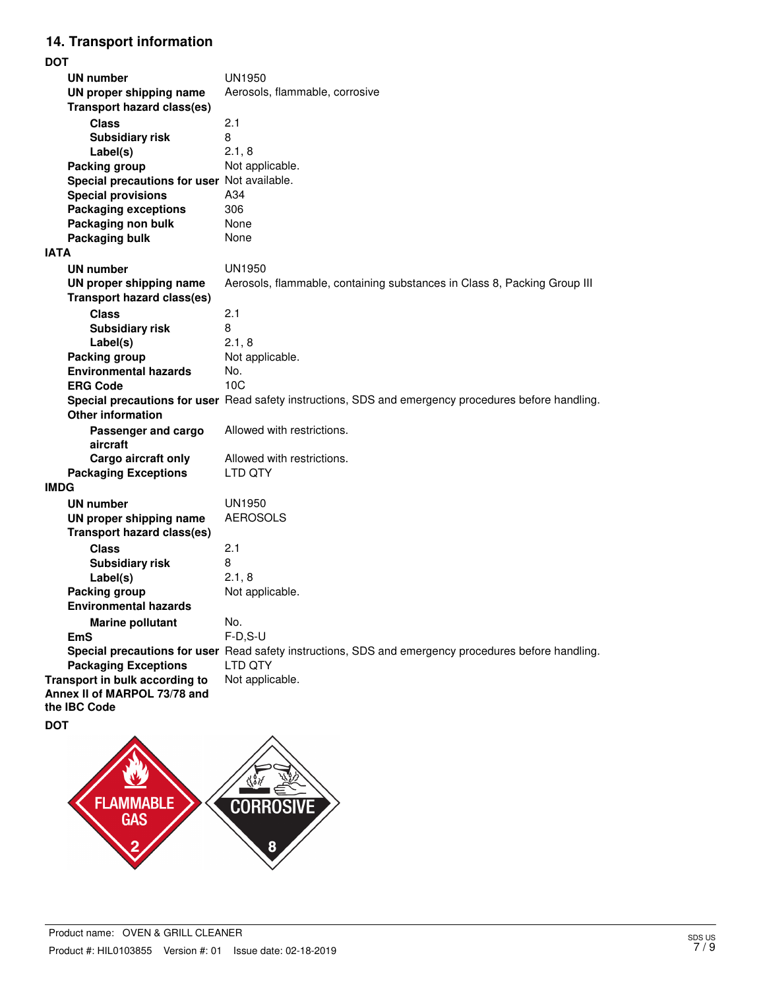# **14. Transport information**

**DOT**

| וטע                                         |                                                                                                      |
|---------------------------------------------|------------------------------------------------------------------------------------------------------|
| UN number                                   | <b>UN1950</b>                                                                                        |
| UN proper shipping name                     | Aerosols, flammable, corrosive                                                                       |
| <b>Transport hazard class(es)</b>           |                                                                                                      |
|                                             |                                                                                                      |
| <b>Class</b>                                | 2.1                                                                                                  |
| <b>Subsidiary risk</b>                      | 8                                                                                                    |
| Label(s)                                    | 2.1, 8                                                                                               |
| Packing group                               | Not applicable.                                                                                      |
| Special precautions for user Not available. |                                                                                                      |
| <b>Special provisions</b>                   | A34                                                                                                  |
|                                             | 306                                                                                                  |
| <b>Packaging exceptions</b>                 |                                                                                                      |
| Packaging non bulk                          | None                                                                                                 |
| <b>Packaging bulk</b>                       | None                                                                                                 |
| <b>IATA</b>                                 |                                                                                                      |
| <b>UN number</b>                            | UN1950                                                                                               |
| UN proper shipping name                     | Aerosols, flammable, containing substances in Class 8, Packing Group III                             |
| <b>Transport hazard class(es)</b>           |                                                                                                      |
|                                             |                                                                                                      |
| <b>Class</b>                                | 2.1                                                                                                  |
| <b>Subsidiary risk</b>                      | 8                                                                                                    |
| Label(s)                                    | 2.1, 8                                                                                               |
| Packing group                               | Not applicable.                                                                                      |
| <b>Environmental hazards</b>                | No.                                                                                                  |
| <b>ERG Code</b>                             | 10C                                                                                                  |
|                                             | Special precautions for user Read safety instructions, SDS and emergency procedures before handling. |
| <b>Other information</b>                    |                                                                                                      |
| Passenger and cargo                         | Allowed with restrictions.                                                                           |
| aircraft                                    |                                                                                                      |
| Cargo aircraft only                         | Allowed with restrictions.                                                                           |
|                                             | LTD QTY                                                                                              |
| <b>Packaging Exceptions</b>                 |                                                                                                      |
| <b>IMDG</b>                                 |                                                                                                      |
| <b>UN number</b>                            | <b>UN1950</b>                                                                                        |
| UN proper shipping name                     | <b>AEROSOLS</b>                                                                                      |
| <b>Transport hazard class(es)</b>           |                                                                                                      |
| <b>Class</b>                                | 2.1                                                                                                  |
| <b>Subsidiary risk</b>                      | 8                                                                                                    |
| Label(s)                                    | 2.1, 8                                                                                               |
|                                             |                                                                                                      |
| Packing group                               | Not applicable.                                                                                      |
| <b>Environmental hazards</b>                |                                                                                                      |
| <b>Marine pollutant</b>                     | No.                                                                                                  |
| EmS                                         | $F-D, S-U$                                                                                           |
|                                             | Special precautions for user Read safety instructions, SDS and emergency procedures before handling. |
| <b>Packaging Exceptions</b>                 | LTD QTY                                                                                              |
| Transport in bulk according to              | Not applicable.                                                                                      |
| Annex II of MARPOL 73/78 and                |                                                                                                      |
| the IBC Code                                |                                                                                                      |
|                                             |                                                                                                      |

**DOT**

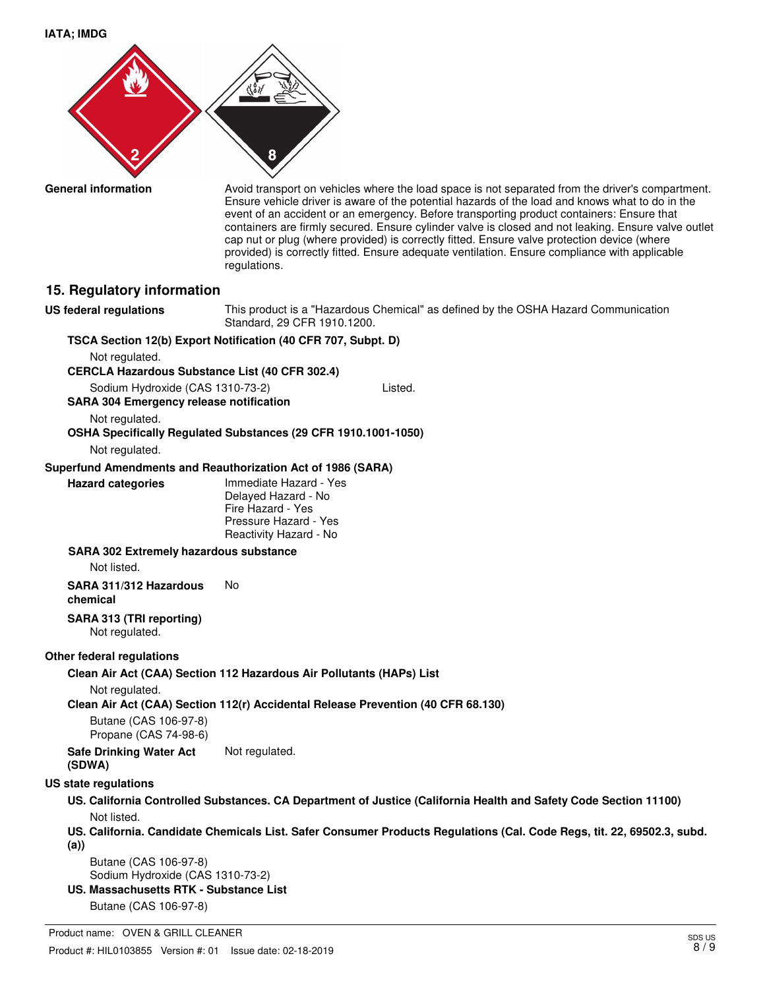**IATA; IMDG**



**General information**

Avoid transport on vehicles where the load space is not separated from the driver's compartment. Ensure vehicle driver is aware of the potential hazards of the load and knows what to do in the event of an accident or an emergency. Before transporting product containers: Ensure that containers are firmly secured. Ensure cylinder valve is closed and not leaking. Ensure valve outlet cap nut or plug (where provided) is correctly fitted. Ensure valve protection device (where provided) is correctly fitted. Ensure adequate ventilation. Ensure compliance with applicable regulations.

#### **15. Regulatory information**

**US federal regulations**

This product is a "Hazardous Chemical" as defined by the OSHA Hazard Communication Standard, 29 CFR 1910.1200.

### **TSCA Section 12(b) Export Notification (40 CFR 707, Subpt. D)**

Not regulated.

**CERCLA Hazardous Substance List (40 CFR 302.4)**

Sodium Hydroxide (CAS 1310-73-2) Listed.

**SARA 304 Emergency release notification**

Not regulated.

# **OSHA Specifically Regulated Substances (29 CFR 1910.1001-1050)**

Not regulated.

**Hazard categories**

#### **Superfund Amendments and Reauthorization Act of 1986 (SARA)**

Immediate Hazard - Yes Delayed Hazard - No Fire Hazard - Yes Pressure Hazard - Yes Reactivity Hazard - No

#### **SARA 302 Extremely hazardous substance**

Not listed.

**SARA 311/312 Hazardous** No

#### **chemical**

**SARA 313 (TRI reporting)** Not regulated.

#### **Other federal regulations**

**Clean Air Act (CAA) Section 112 Hazardous Air Pollutants (HAPs) List**

Not regulated.

**Clean Air Act (CAA) Section 112(r) Accidental Release Prevention (40 CFR 68.130)**

Butane (CAS 106-97-8) Propane (CAS 74-98-6)

**Safe Drinking Water Act** Not regulated. **(SDWA)**

#### **US state regulations**

**US. California Controlled Substances. CA Department of Justice (California Health and Safety Code Section 11100)** Not listed.

**US. California. Candidate Chemicals List. Safer Consumer Products Regulations (Cal. Code Regs, tit. 22, 69502.3, subd. (a))**

Butane (CAS 106-97-8) Sodium Hydroxide (CAS 1310-73-2)

**US. Massachusetts RTK - Substance List**

Butane (CAS 106-97-8)